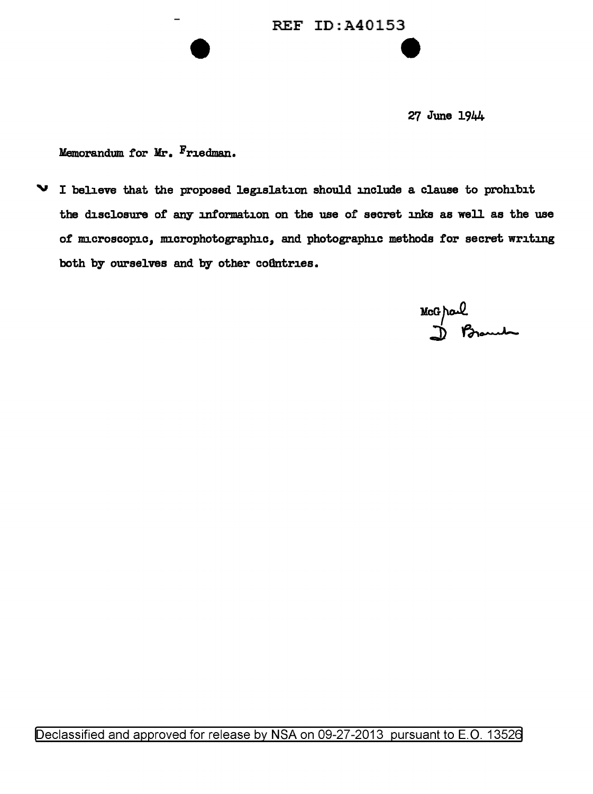## REF ID:A40153 e

27 June 1944

Memorandum tor Mr. Friedman.

 $\vee$  I believe that the proposed legislation should include a clause to prohibit the disclosure of any information on the use of secret inks as well as the use of microscopic, microphotographic, and photographic methods for secret writing both by ourselves and by other coûntries.

McGrael<br>D Branch

Declassified and approved for release by NSA on 09-27-2013 pursuant to E.O. 13526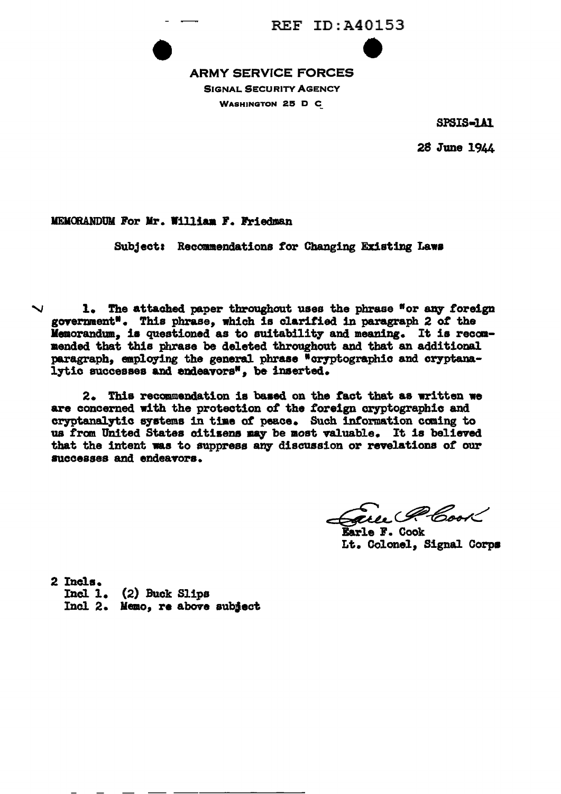

#### **ARMY SERVICE FORCES SIGNAL SECURITY AGENCY WASHINGTON 25 D C**

SPSIS-1A1

28 June 1944

MEMORANDUM For Mr. William F. Friedman

Subject: Recommendations for Changing Existing Laws

1. The attached paper throughout uses the phrase "or any foreign government". This phrase, which is clarified in paragraph 2 of the Memorandum, is questioned as to suitability and meaning. It is recommended that this phrase be deleted throughout and that an additional paragraph. employing the general phrase "cryptographic and cryptanalytic successes and endeavors", be inserted.

2. This recommendation is based on the fact that as written we are concerned with the protection of the foreign cryptographic and cryptanalytic systems in time of peace. Such information coming to us from United States citizens may be most valuable. It is believed that the intent was to suppress any discussion or revelations of our successes and endeavors.

au G Cast

Earle F. Cook Lt. Colonel, Signal Corps

2 Incls.  $Incl 1.$  (2) Buck Slips Incl 2. Memo, re above subiect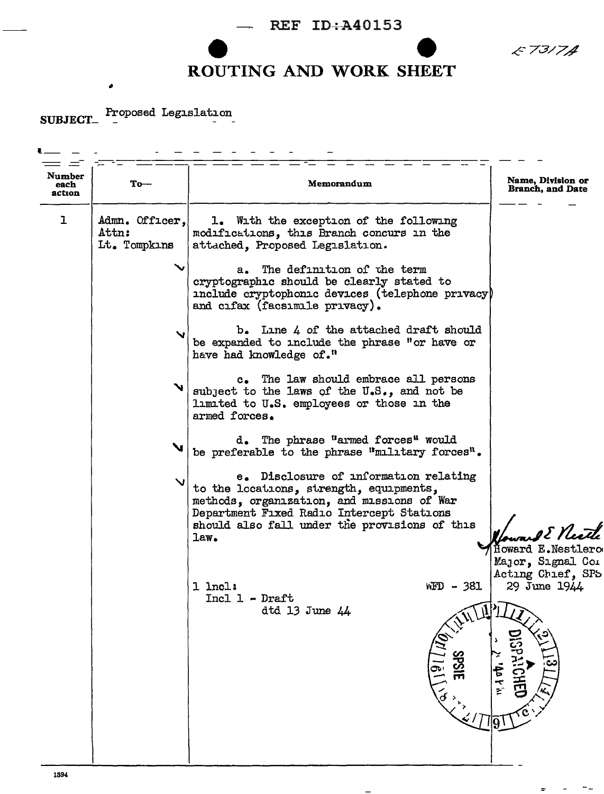E7317A

 $\frac{1}{2}$  $\sim$ 

### **ROUTING AND WORK SHEET**

SUBJECT\_ Proposed Legislation

| Number<br>each<br>action | $_{\rm To-}$                            | Memorandum                                                                                                                                                                                                                           | Name, Division or<br><b>Branch, and Date</b>                           |
|--------------------------|-----------------------------------------|--------------------------------------------------------------------------------------------------------------------------------------------------------------------------------------------------------------------------------------|------------------------------------------------------------------------|
| ı                        | Admn. Officer,<br>Attn:<br>Lt. Tompkins | 1. With the exception of the following<br>modifications, this Branch concurs in the<br>attached. Proposed Legislation.                                                                                                               |                                                                        |
|                          |                                         | The definition of the term<br>а.<br>cryptographic should be clearly stated to<br>include cryptophonic devices (telephone privacy)<br>and cifax (facsimile privacy).                                                                  |                                                                        |
|                          | $\mathbf{v}$                            | $b$ . Line $4$ of the attached draft should<br>be expanded to include the phrase "or have or<br>have had knowledge of."                                                                                                              |                                                                        |
|                          | $\mathbf{v}_1$                          | c. The law should embrace all persons<br>subject to the laws of the U.S., and not be<br>limited to U.S. employees or those in the<br>armed forces.                                                                                   |                                                                        |
|                          | $\mathbf{v}$                            | d. The phrase "armed forces" would<br>be preferable to the phrase "military forces".                                                                                                                                                 |                                                                        |
|                          | $\mathbf{v}$                            | e. Disclosure of information relating<br>to the locations, strength, equipments,<br>methods, organization, and missions of War<br>Department Fixed Radio Intercept Stations<br>should also fall under the provisions of this<br>law. | E Neath<br>Howard E.Nestlerc<br>Major, Signal Com<br>Acting Chief, SPS |
|                          |                                         | $1$ lncl:<br>WFD - 381<br>Incl 1 - Draft<br>dtd 13 June 44<br>$\begin{array}{c}\n\sqrt{\alpha}\setminus 1 \frac{\widehat{q}\prod \widehat{l}\widehat{q}}{\alpha} \\ \vdots\n\end{array}$                                             | 29 June 1944<br>DISPATCHED<br>$\sum_{i=1}^{n}$<br>144404               |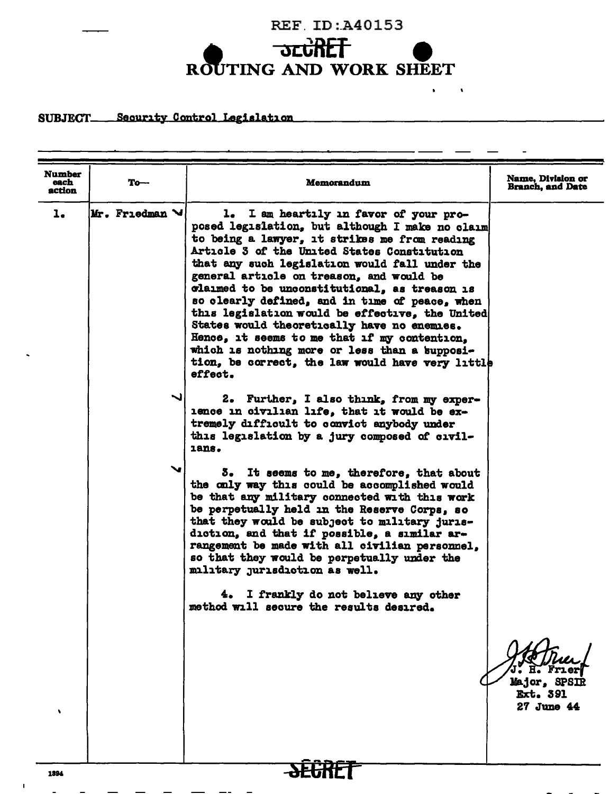

 $\bullet$  $\sim 10$ 

#### SUBJECT\_\_\_\_Security\_Control\_Legislation

| <b>Number</b><br>each | To—                             | Memorandum                                                                                                                                                                                                                                                                                                                                                                                                                                                                                                                                                                                                                                                   | <b>Name, Division or</b><br><b>Branch, and Date</b> |
|-----------------------|---------------------------------|--------------------------------------------------------------------------------------------------------------------------------------------------------------------------------------------------------------------------------------------------------------------------------------------------------------------------------------------------------------------------------------------------------------------------------------------------------------------------------------------------------------------------------------------------------------------------------------------------------------------------------------------------------------|-----------------------------------------------------|
| action<br>ı.          | $ Mr$ . Friedman $\mathcal{M} $ | 1. I am heartily in favor of your pro-<br>posed legislation, but although I make no claim<br>to being a lawyer, it strikes me from reading<br>Article 3 of the United States Constitution<br>that any such legislation would fall under the<br>general article on treason, and would be<br>claimed to be unconstitutional, as treason is<br>so clearly defined, and in time of peace, when<br>this legislation would be effective, the United<br>States would theoretically have no enemies.<br>Hence, it seems to me that if my contention,<br>which is nothing more or less than a supposi-<br>tion, be correct, the law would have very little<br>effect. |                                                     |
|                       |                                 | 2. Further, I also think, from my exper-<br>ience in civilian life, that it would be ex-<br>tremely difficult to convict anybody under<br>this legislation by a jury composed of civil-<br>1ans.                                                                                                                                                                                                                                                                                                                                                                                                                                                             |                                                     |
|                       |                                 | It seems to me, therefore, that about<br>3.<br>the only way this could be accomplished would<br>be that any military connected with this work<br>be perpetually held in the Reserve Corps, so<br>that they would be subject to military juris-<br>diction, and that if possible, a similar ar-<br>rangement be made with all civilian personnel,<br>so that they would be perpetually under the<br>military jurisdiction as well.                                                                                                                                                                                                                            |                                                     |
|                       |                                 | 4. I frankly do not believe any other<br>method will secure the results desired.                                                                                                                                                                                                                                                                                                                                                                                                                                                                                                                                                                             |                                                     |
|                       |                                 |                                                                                                                                                                                                                                                                                                                                                                                                                                                                                                                                                                                                                                                              | Major, SPSIR<br><b>Ext. 391</b><br>27 June 44       |
| 1394                  |                                 |                                                                                                                                                                                                                                                                                                                                                                                                                                                                                                                                                                                                                                                              |                                                     |

and the state of the state of

 $\mathbf{I}$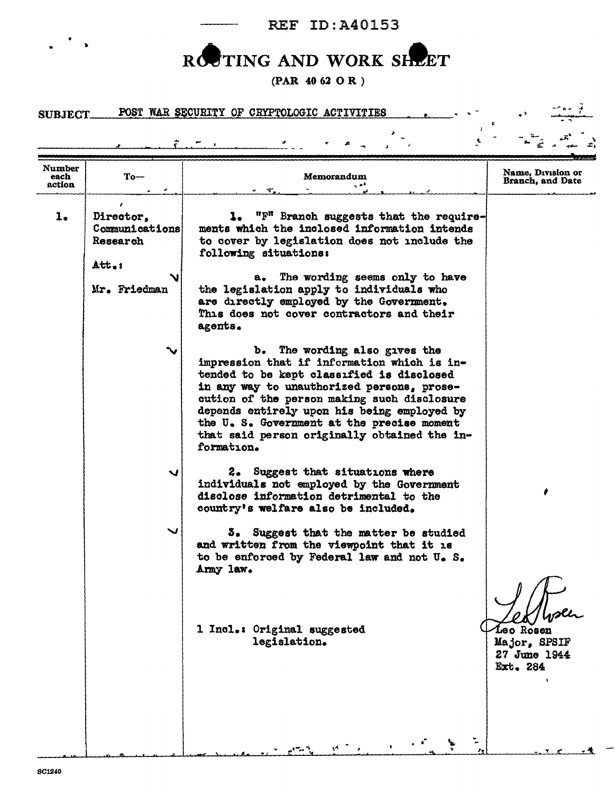REF ID:A40153

 $\mathcal{L}_{\rm{eff}}$ 

..

 $\pmb{\epsilon}$ 

# ROCTING AND WORK SHEET

(PAR 40 62 0 R )

#### SUBJECT POST WAR SECURITY OF CRYPTOLOGIC ACTIVITIES

| $To-$                                   | Memorandum<br>۰. ه.                                                                                                                                                                                                                                                                                                                                                              | Name. Division or<br>Branch, and Date                 |
|-----------------------------------------|----------------------------------------------------------------------------------------------------------------------------------------------------------------------------------------------------------------------------------------------------------------------------------------------------------------------------------------------------------------------------------|-------------------------------------------------------|
| Director,<br>Communications<br>Research | 1. "F" Branch suggests that the require-<br>ments which the inclosed information intends<br>to cover by legislation does not include the<br>following situations:                                                                                                                                                                                                                |                                                       |
| Mr. Friedman                            | The wording seems only to have<br>a.<br>the legislation apply to individuals who<br>are directly employed by the Government.<br>This does not cover contractors and their<br>agents.                                                                                                                                                                                             |                                                       |
|                                         | b. The wording also gives the<br>impression that if information which is in-<br>tended to be kept classified is disclosed<br>in any way to unauthorized persons, prose-<br>cution of the person making such disclosure<br>depends entirely upon his being employed by<br>the U.S. Government at the precise moment<br>that said person originally obtained the in-<br>formation. |                                                       |
| ↘                                       | 2. Suggest that situations where<br>individuals not employed by the Government<br>disclose information detrimental to the<br>country's welfare also be included.                                                                                                                                                                                                                 |                                                       |
|                                         | Suggest that the matter be studied<br>3.<br>and written from the viewpoint that it is<br>to be enforced by Federal law and not U. S.<br>Army law.                                                                                                                                                                                                                                |                                                       |
|                                         | 1 Incl.: Original suggested<br>legislation.                                                                                                                                                                                                                                                                                                                                      | Leo Rosen<br>Major, SPSIF<br>27 June 1944<br>Ext. 284 |
|                                         | $Att_{-1}$                                                                                                                                                                                                                                                                                                                                                                       |                                                       |

\-'!. • <sup>I</sup>... '·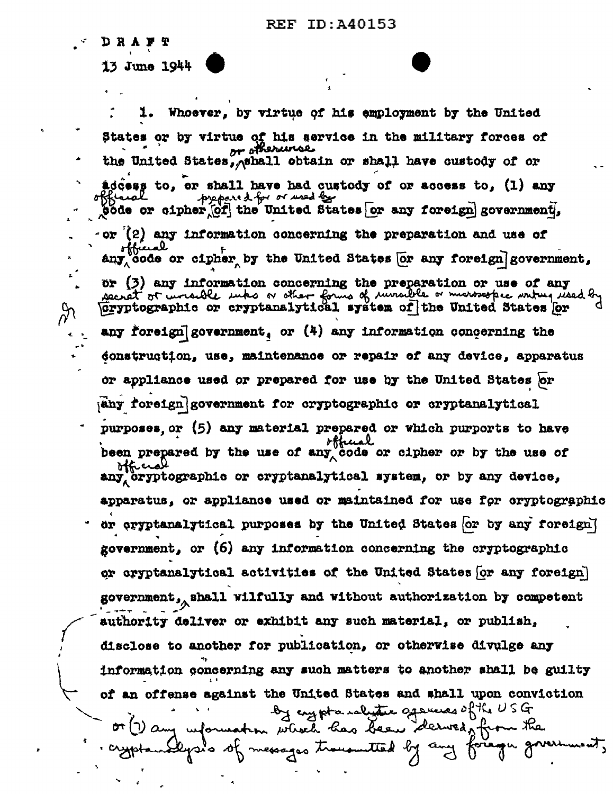**DRAFT** 

 $\%$ 

13 June 1944

Whoever, by virtue of his employment by the United States or by virtue of his service in the military forces of n stherunse the United States, Ashall obtain or shall have custody of or addess to, or shall have had custody of or access to, (1) any prepared for or used by pode or cipher of the United States or any foreign government.  $-\text{or}$  (2) any information concerning the preparation and use of any code or cipher by the United States [or any foreign] government,  $\alpha$  (3) any information concerning the preparation or use of any secret of wrankle unks or other forms of invartile or marosospec writing read by Gryptographic or cryptanalytical system of the United States or any foreign government, or  $(4)$  any information concerning the donstrugtion, use, maintenance or repair of any device, apparatus or appliance used or prepared for use by the United States or  $|\text{any for sign}|$ government for cryptographic or cryptanalytical purposes or (5) any material prepared or which purports to have official been prepared by the use of any code or cipher or by the use of ittice any cryptographic or cryptanalytical system, or by any device, apparatus, or appliance used or maintained for use for cryptographic or oryptanalytical purposes by the United States (or by any foreign) government, or (6) any information concerning the cryptographic or cryptanalytical activities of the United States for any foreign) government, shall wilfully and without authorization by competent authority deliver or exhibit any such material, or publish, disclose to another for publication, or otherwise divulge any information concerning any such matters to another shall be guilty of an offense against the United States and shall upon conviction by crypto ralitic gasuces of the USG or (1) any information which has been derwed for messages trouvanted by rsis st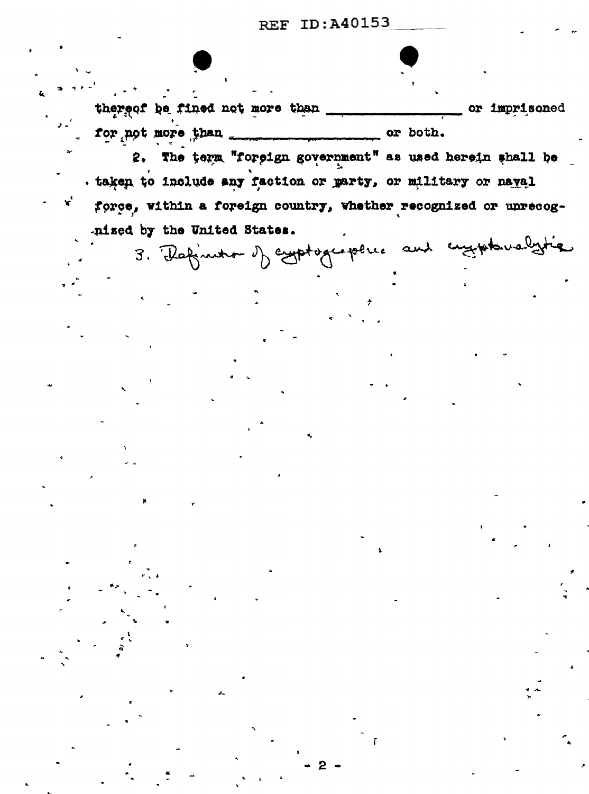**REF ID: A40153** 

thereof be fined not more than \_ or imprisoned 

2. The term "foreign government" as used herein shall be . taken to include any faction or marty, or military or naval force, within a foreign country, whether recognized or unrecognized by the United States.

3. Rafinition of explorations and engineerinalytic